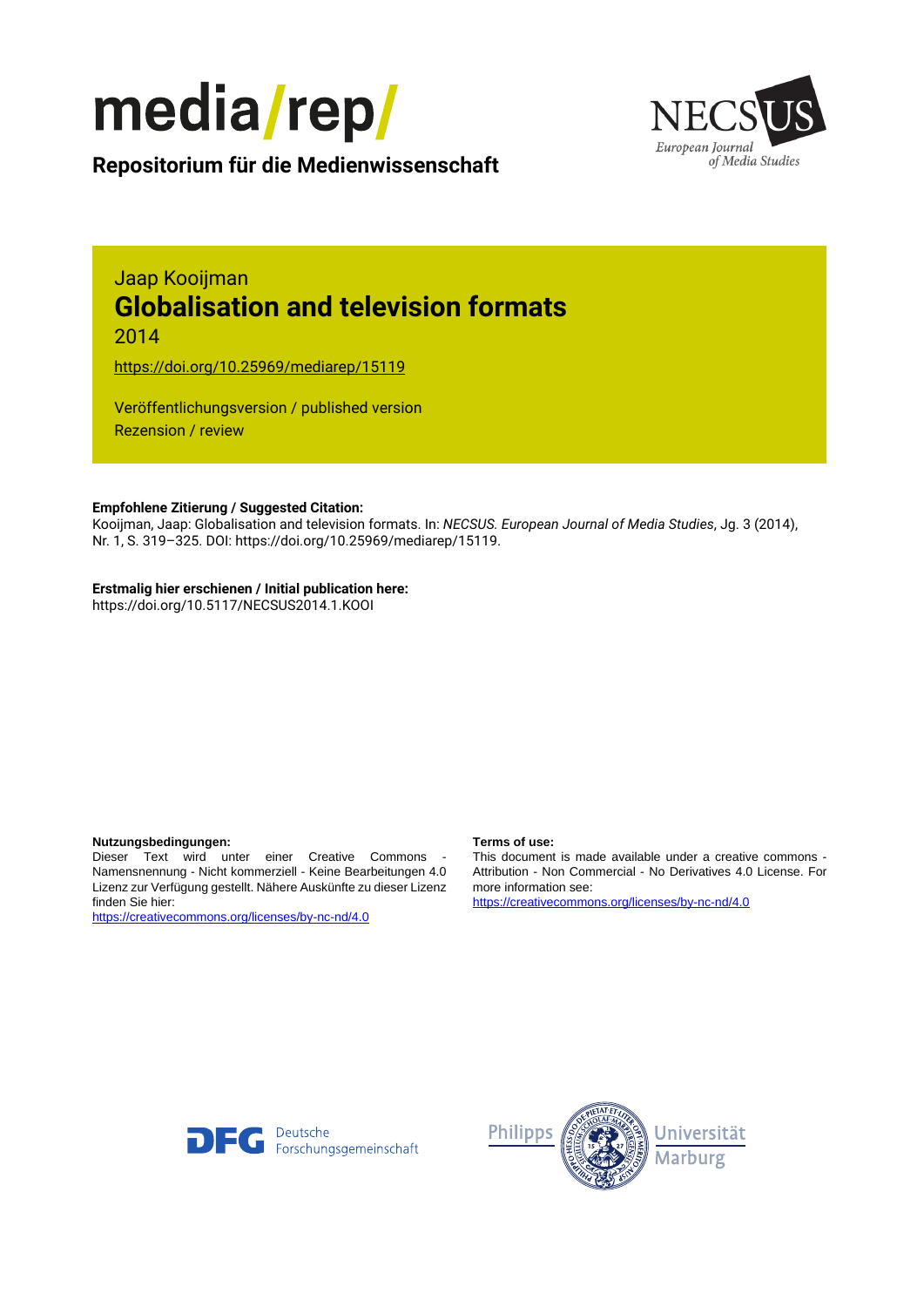



**Repositorium für die [Medienwissenschaft](https://mediarep.org)**

# Jaap Kooijman **Globalisation and television formats**

2014

<https://doi.org/10.25969/mediarep/15119>

Veröffentlichungsversion / published version Rezension / review

#### **Empfohlene Zitierung / Suggested Citation:**

Kooijman, Jaap: Globalisation and television formats. In: *NECSUS. European Journal of Media Studies*, Jg. 3 (2014), Nr. 1, S. 319–325. DOI: https://doi.org/10.25969/mediarep/15119.

#### **Erstmalig hier erschienen / Initial publication here:**

https://doi.org/10.5117/NECSUS2014.1.KOOI

#### **Nutzungsbedingungen: Terms of use:**

Dieser Text wird unter einer Creative Commons - Namensnennung - Nicht kommerziell - Keine Bearbeitungen 4.0 Lizenz zur Verfügung gestellt. Nähere Auskünfte zu dieser Lizenz finden Sie hier:

<https://creativecommons.org/licenses/by-nc-nd/4.0>

This document is made available under a creative commons - Attribution - Non Commercial - No Derivatives 4.0 License. For more information see:

<https://creativecommons.org/licenses/by-nc-nd/4.0>



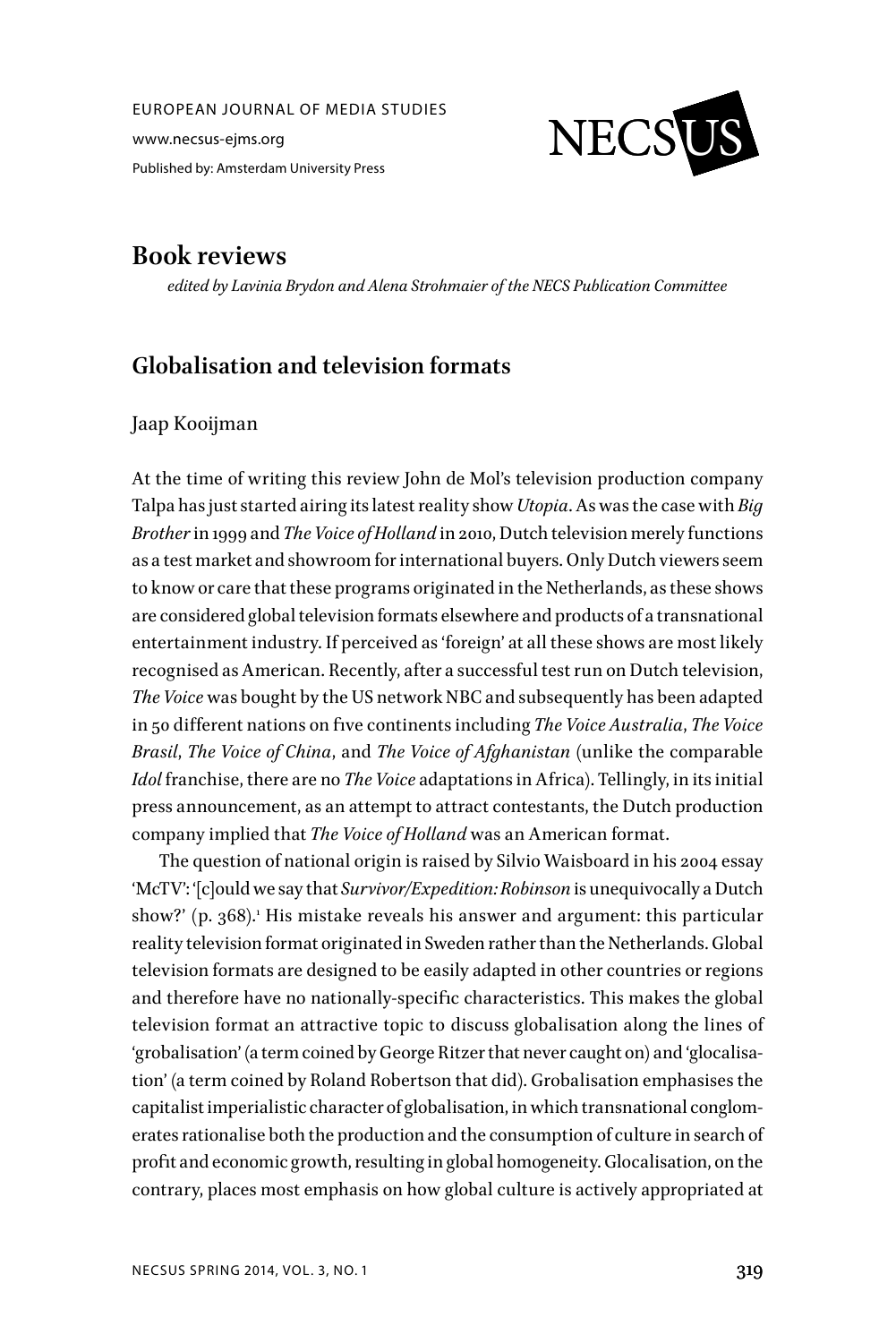EUROPEAN JOURNAL OF MEDIA STUDIES www.necsus-ejms.org Published by: Amsterdam University Press



# **Book reviews**

*edited by Lavinia Brydon and Alena Strohmaier of the NECS Publication Committee*

# **Globalisation and television formats**

#### Jaap Kooijman

At the time of writing this review John de Mol's television production company Talpa has just started airing its latest reality show *Utopia*. As was the case with *Big Brother* in 1999 and *The Voice of Holland* in 2010, Dutch television merely functions as a test market and showroom for international buyers. Only Dutch viewers seem to know or care that these programs originated in the Netherlands, as these shows are considered global television formats elsewhere and products of a transnational entertainment industry. If perceived as 'foreign' at all these shows are most likely recognised as American. Recently, after a successful test run on Dutch television, *The Voice* was bought by the US network NBC and subsequently has been adapted in 50 different nations on five continents including *The Voice Australia*, *The Voice Brasil*, *The Voice of China*, and *The Voice of Afghanistan* (unlike the comparable *Idol* franchise, there are no *The Voice* adaptations in Africa). Tellingly, in its initial press announcement, as an attempt to attract contestants, the Dutch production company implied that *The Voice of Holland* was an American format.

The question of national origin is raised by Silvio Waisboard in his 2004 essay 'McTV': '[c]ould we say that *Survivor/Expedition: Robinson* is unequivocally a Dutch show?' (p. 368).<sup>1</sup> His mistake reveals his answer and argument: this particular reality television format originated in Sweden rather than the Netherlands. Global television formats are designed to be easily adapted in other countries or regions and therefore have no nationally-specific characteristics. This makes the global television format an attractive topic to discuss globalisation along the lines of 'grobalisation' (a term coined by George Ritzer that never caught on) and 'glocalisation' (a term coined by Roland Robertson that did). Grobalisation emphasises the capitalist imperialistic character of globalisation, in which transnational conglomerates rationalise both the production and the consumption of culture in search of profit and economic growth, resulting in global homogeneity. Glocalisation, on the contrary, places most emphasis on how global culture is actively appropriated at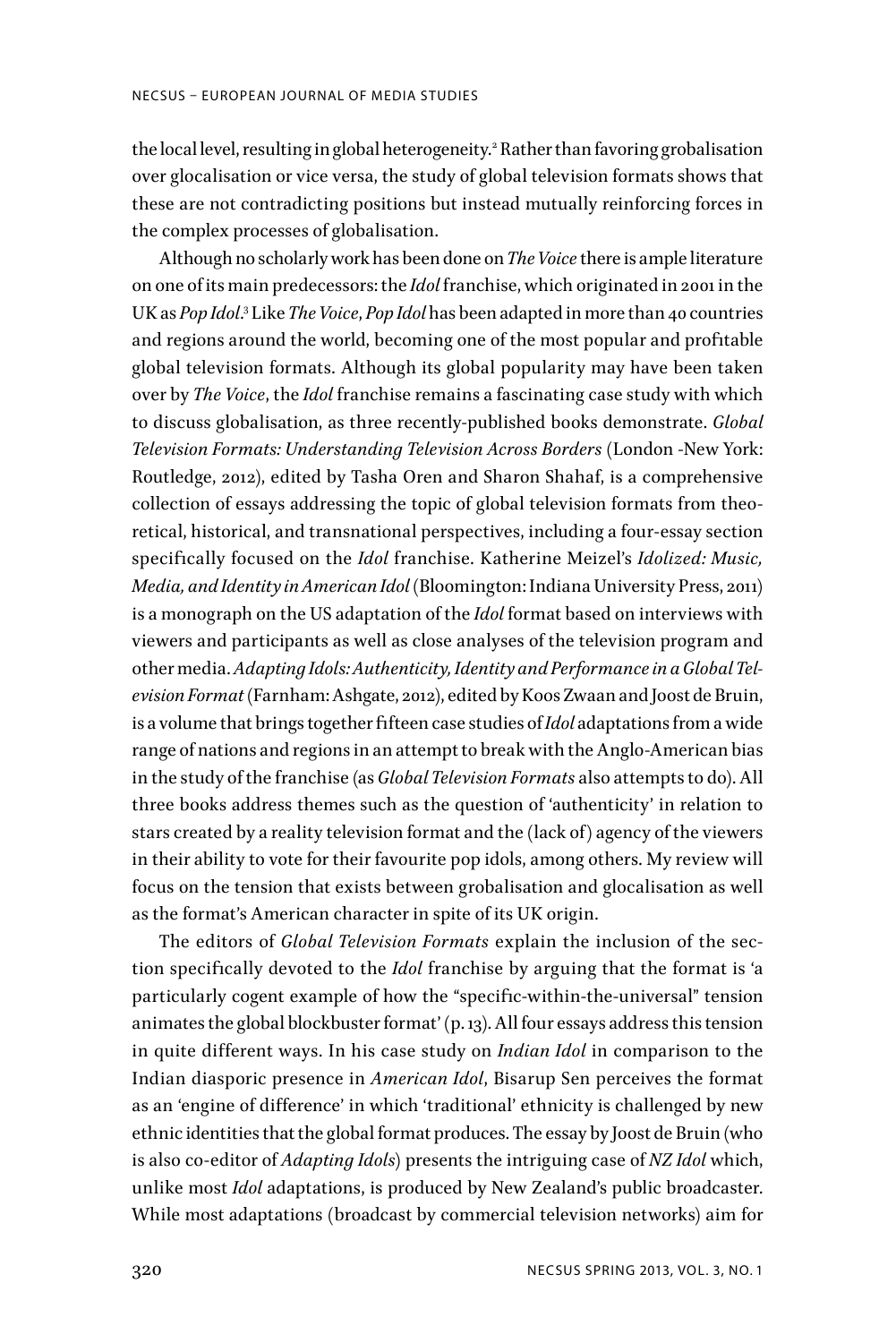the local level, resulting in global heterogeneity.<sup>2</sup> Rather than favoring grobalisation over glocalisation or vice versa, the study of global television formats shows that these are not contradicting positions but instead mutually reinforcing forces in the complex processes of globalisation.

Although no scholarly work has been done on *The Voice* there is ample literature on one of its main predecessors: the *Idol* franchise, which originated in 2001 in the UK as *Pop Idol*. 3 Like *The Voice*, *Pop Idol* has been adapted in more than 40 countries and regions around the world, becoming one of the most popular and profitable global television formats. Although its global popularity may have been taken over by *The Voice*, the *Idol* franchise remains a fascinating case study with which to discuss globalisation, as three recently-published books demonstrate. *Global Television Formats: Understanding Television Across Borders* (London -New York: Routledge, 2012), edited by Tasha Oren and Sharon Shahaf, is a comprehensive collection of essays addressing the topic of global television formats from theoretical, historical, and transnational perspectives, including a four-essay section specifically focused on the *Idol* franchise. Katherine Meizel's *Idolized: Music, Media, and Identity in American Idol* (Bloomington: Indiana University Press, 2011) is a monograph on the US adaptation of the *Idol* format based on interviews with viewers and participants as well as close analyses of the television program and other media. *Adapting Idols: Authenticity, Identity and Performance in a Global Television Format* (Farnham: Ashgate, 2012), edited by Koos Zwaan and Joost de Bruin, is a volume that brings together fifteen case studies of *Idol* adaptations from a wide range of nations and regions in an attempt to break with the Anglo-American bias in the study of the franchise (as *Global Television Formats* also attempts to do). All three books address themes such as the question of 'authenticity' in relation to stars created by a reality television format and the (lack of) agency of the viewers in their ability to vote for their favourite pop idols, among others. My review will focus on the tension that exists between grobalisation and glocalisation as well as the format's American character in spite of its UK origin.

The editors of *Global Television Formats* explain the inclusion of the section specifically devoted to the *Idol* franchise by arguing that the format is 'a particularly cogent example of how the "specific-within-the-universal" tension animates the global blockbuster format' (p. 13). All four essays address this tension in quite different ways. In his case study on *Indian Idol* in comparison to the Indian diasporic presence in *American Idol*, Bisarup Sen perceives the format as an 'engine of difference' in which 'traditional' ethnicity is challenged by new ethnic identities that the global format produces. The essay by Joost de Bruin (who is also co-editor of *Adapting Idols*) presents the intriguing case of *NZ Idol* which, unlike most *Idol* adaptations, is produced by New Zealand's public broadcaster. While most adaptations (broadcast by commercial television networks) aim for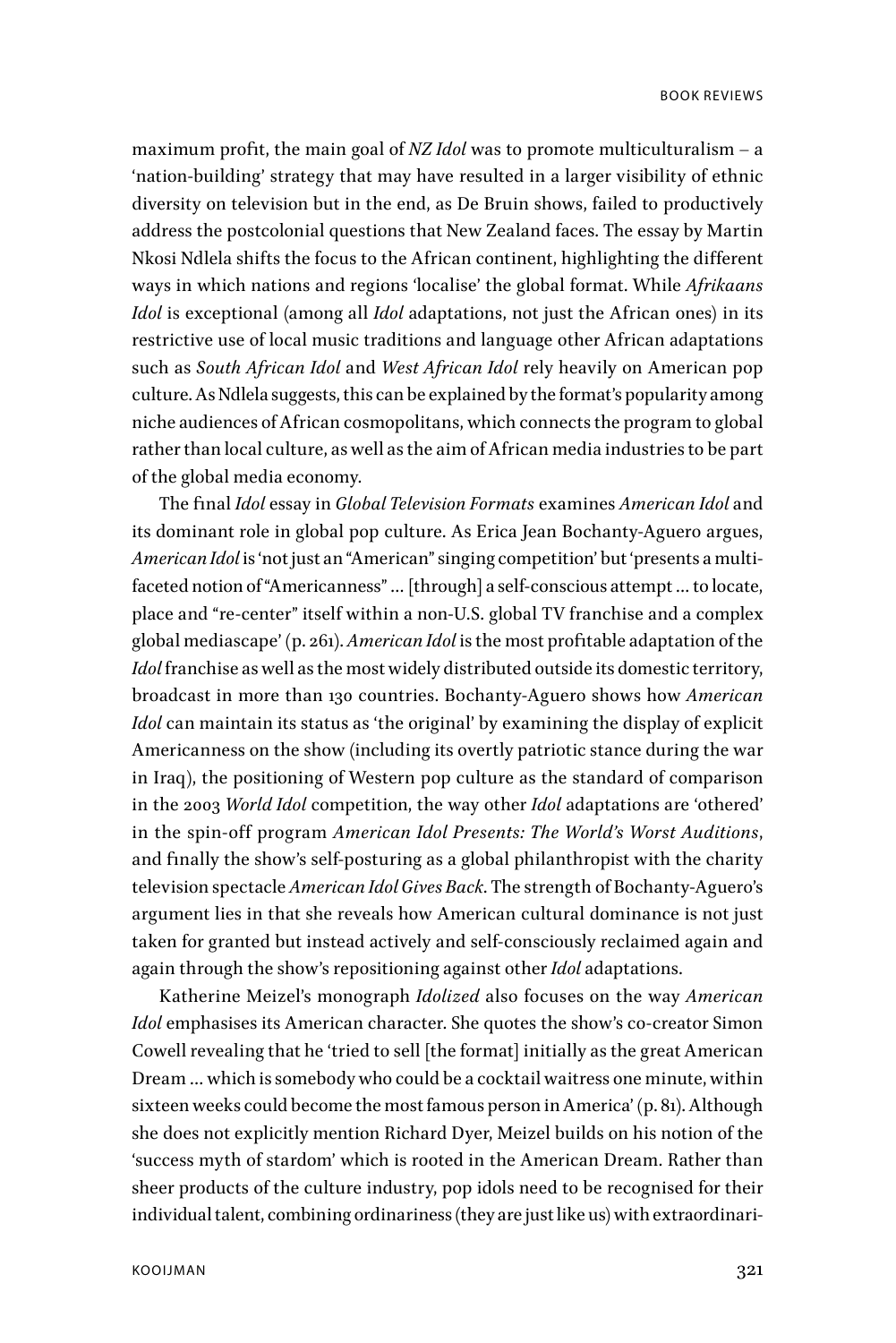Book reviews

maximum profit, the main goal of *NZ Idol* was to promote multiculturalism – a 'nation-building' strategy that may have resulted in a larger visibility of ethnic diversity on television but in the end, as De Bruin shows, failed to productively address the postcolonial questions that New Zealand faces. The essay by Martin Nkosi Ndlela shifts the focus to the African continent, highlighting the different ways in which nations and regions 'localise' the global format. While *Afrikaans Idol* is exceptional (among all *Idol* adaptations, not just the African ones) in its restrictive use of local music traditions and language other African adaptations such as *South African Idol* and *West African Idol* rely heavily on American pop culture. As Ndlela suggests, this can be explained by the format's popularity among niche audiences of African cosmopolitans, which connects the program to global rather than local culture, as well as the aim of African media industries to be part of the global media economy.

The final *Idol* essay in *Global Television Formats* examines *American Idol* and its dominant role in global pop culture. As Erica Jean Bochanty-Aguero argues, *American Idol* is 'not just an "American" singing competition' but 'presents a multifaceted notion of "Americanness" … [through] a self-conscious attempt … to locate, place and "re-center" itself within a non-U.S. global TV franchise and a complex global mediascape' (p. 261). *American Idol* is the most profitable adaptation of the *Idol* franchise as well as the most widely distributed outside its domestic territory, broadcast in more than 130 countries. Bochanty-Aguero shows how *American Idol* can maintain its status as 'the original' by examining the display of explicit Americanness on the show (including its overtly patriotic stance during the war in Iraq), the positioning of Western pop culture as the standard of comparison in the 2003 *World Idol* competition, the way other *Idol* adaptations are 'othered' in the spin-off program *American Idol Presents: The World's Worst Auditions*, and finally the show's self-posturing as a global philanthropist with the charity television spectacle *American Idol Gives Back*. The strength of Bochanty-Aguero's argument lies in that she reveals how American cultural dominance is not just taken for granted but instead actively and self-consciously reclaimed again and again through the show's repositioning against other *Idol* adaptations.

Katherine Meizel's monograph *Idolized* also focuses on the way *American Idol* emphasises its American character. She quotes the show's co-creator Simon Cowell revealing that he 'tried to sell [the format] initially as the great American Dream … which is somebody who could be a cocktail waitress one minute, within sixteen weeks could become the most famous person in America' (p. 81). Although she does not explicitly mention Richard Dyer, Meizel builds on his notion of the 'success myth of stardom' which is rooted in the American Dream. Rather than sheer products of the culture industry, pop idols need to be recognised for their individual talent, combining ordinariness (they are just like us) with extraordinari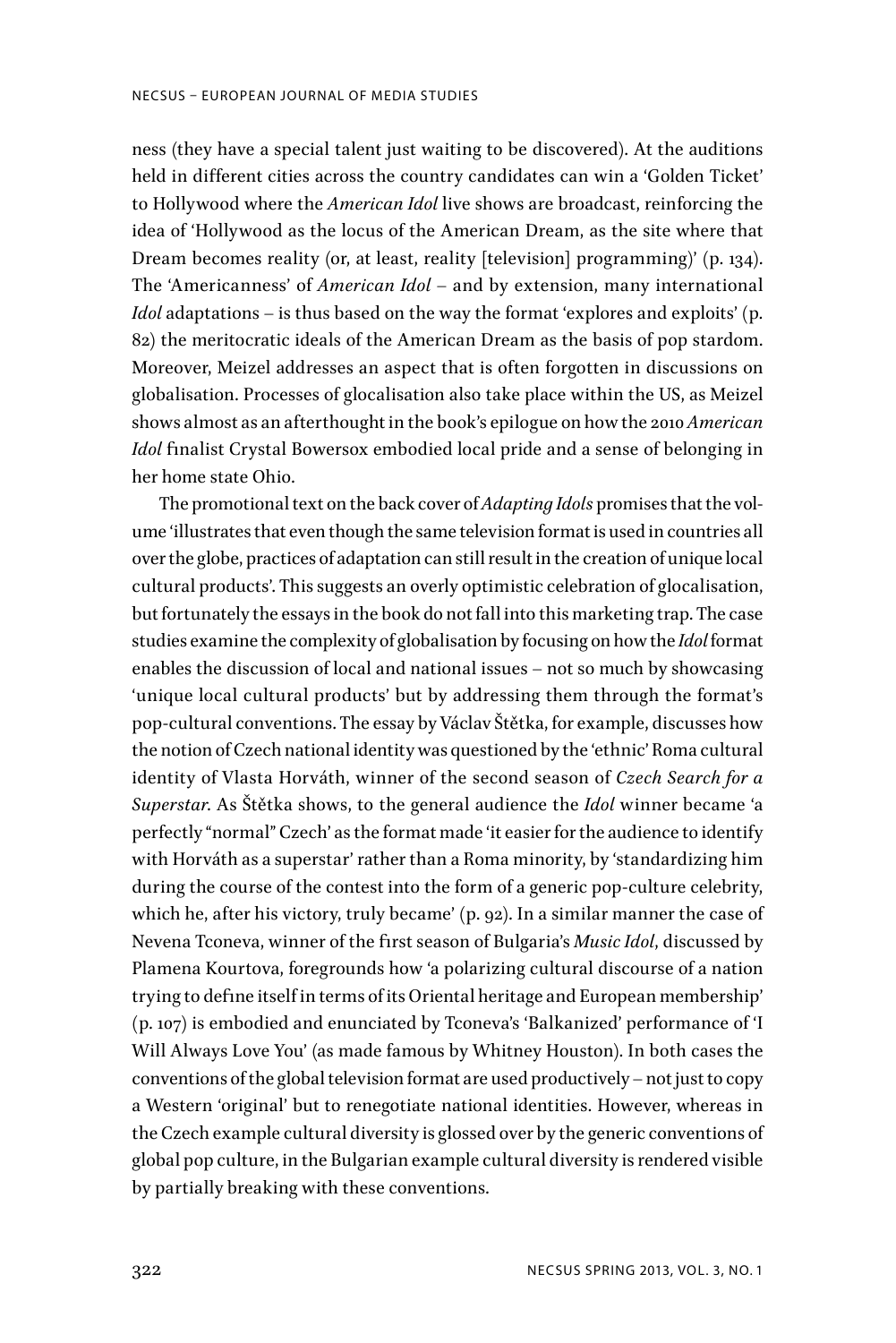ness (they have a special talent just waiting to be discovered). At the auditions held in different cities across the country candidates can win a 'Golden Ticket' to Hollywood where the *American Idol* live shows are broadcast, reinforcing the idea of 'Hollywood as the locus of the American Dream, as the site where that Dream becomes reality (or, at least, reality [television] programming)' (p. 134). The 'Americanness' of *American Idol* – and by extension, many international *Idol* adaptations – is thus based on the way the format 'explores and exploits' (p. 82) the meritocratic ideals of the American Dream as the basis of pop stardom. Moreover, Meizel addresses an aspect that is often forgotten in discussions on globalisation. Processes of glocalisation also take place within the US, as Meizel shows almost as an afterthought in the book's epilogue on how the 2010 *American Idol* finalist Crystal Bowersox embodied local pride and a sense of belonging in her home state Ohio.

The promotional text on the back cover of *Adapting Idols* promises that the volume 'illustrates that even though the same television format is used in countries all over the globe, practices of adaptation can still result in the creation of unique local cultural products'. This suggests an overly optimistic celebration of glocalisation, but fortunately the essays in the book do not fall into this marketing trap. The case studies examine the complexity of globalisation by focusing on how the *Idol* format enables the discussion of local and national issues – not so much by showcasing 'unique local cultural products' but by addressing them through the format's pop-cultural conventions. The essay by Václav Štětka, for example, discusses how the notion of Czech national identity was questioned by the 'ethnic' Roma cultural identity of Vlasta Horváth, winner of the second season of *Czech Search for a Superstar*. As Štětka shows, to the general audience the *Idol* winner became 'a perfectly "normal" Czech' as the format made 'it easier for the audience to identify with Horváth as a superstar' rather than a Roma minority, by 'standardizing him during the course of the contest into the form of a generic pop-culture celebrity, which he, after his victory, truly became' (p. 92). In a similar manner the case of Nevena Tconeva, winner of the first season of Bulgaria's *Music Idol*, discussed by Plamena Kourtova, foregrounds how 'a polarizing cultural discourse of a nation trying to define itself in terms of its Oriental heritage and European membership' (p. 107) is embodied and enunciated by Tconeva's 'Balkanized' performance of 'I Will Always Love You' (as made famous by Whitney Houston). In both cases the conventions of the global television format are used productively – not just to copy a Western 'original' but to renegotiate national identities. However, whereas in the Czech example cultural diversity is glossed over by the generic conventions of global pop culture, in the Bulgarian example cultural diversity is rendered visible by partially breaking with these conventions.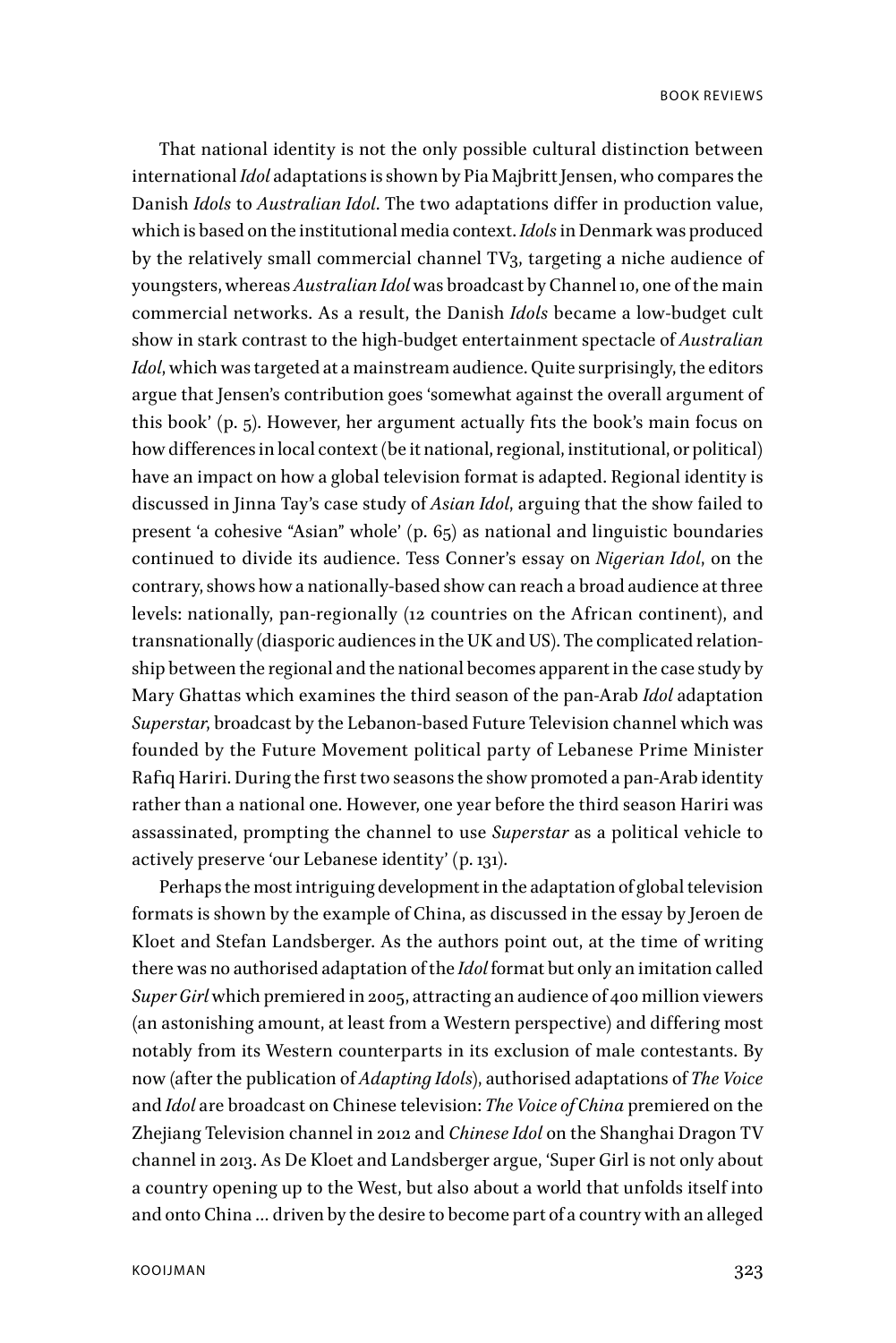Book reviews

That national identity is not the only possible cultural distinction between international *Idol* adaptations is shown by Pia Majbritt Jensen, who compares the Danish *Idols* to *Australian Idol*. The two adaptations differ in production value, which is based on the institutional media context. *Idols* in Denmark was produced by the relatively small commercial channel TV3, targeting a niche audience of youngsters, whereas *Australian Idol* was broadcast by Channel 10, one of the main commercial networks. As a result, the Danish *Idols* became a low-budget cult show in stark contrast to the high-budget entertainment spectacle of *Australian Idol*, which was targeted at a mainstream audience. Quite surprisingly, the editors argue that Jensen's contribution goes 'somewhat against the overall argument of this book' (p. 5). However, her argument actually fits the book's main focus on how differences in local context (be it national, regional, institutional, or political) have an impact on how a global television format is adapted. Regional identity is discussed in Jinna Tay's case study of *Asian Idol*, arguing that the show failed to present 'a cohesive "Asian" whole' (p. 65) as national and linguistic boundaries continued to divide its audience. Tess Conner's essay on *Nigerian Idol*, on the contrary, shows how a nationally-based show can reach a broad audience at three levels: nationally, pan-regionally (12 countries on the African continent), and transnationally (diasporic audiences in the UK and US). The complicated relationship between the regional and the national becomes apparent in the case study by Mary Ghattas which examines the third season of the pan-Arab *Idol* adaptation *Superstar*, broadcast by the Lebanon-based Future Television channel which was founded by the Future Movement political party of Lebanese Prime Minister Rafiq Hariri. During the first two seasons the show promoted a pan-Arab identity rather than a national one. However, one year before the third season Hariri was assassinated, prompting the channel to use *Superstar* as a political vehicle to actively preserve 'our Lebanese identity' (p. 131).

Perhaps the most intriguing development in the adaptation of global television formats is shown by the example of China, as discussed in the essay by Jeroen de Kloet and Stefan Landsberger. As the authors point out, at the time of writing there was no authorised adaptation of the *Idol* format but only an imitation called *Super Girl* which premiered in 2005, attracting an audience of 400 million viewers (an astonishing amount, at least from a Western perspective) and differing most notably from its Western counterparts in its exclusion of male contestants. By now (after the publication of *Adapting Idols*), authorised adaptations of *The Voice* and *Idol* are broadcast on Chinese television: *The Voice of China* premiered on the Zhejiang Television channel in 2012 and *Chinese Idol* on the Shanghai Dragon TV channel in 2013. As De Kloet and Landsberger argue, 'Super Girl is not only about a country opening up to the West, but also about a world that unfolds itself into and onto China … driven by the desire to become part of a country with an alleged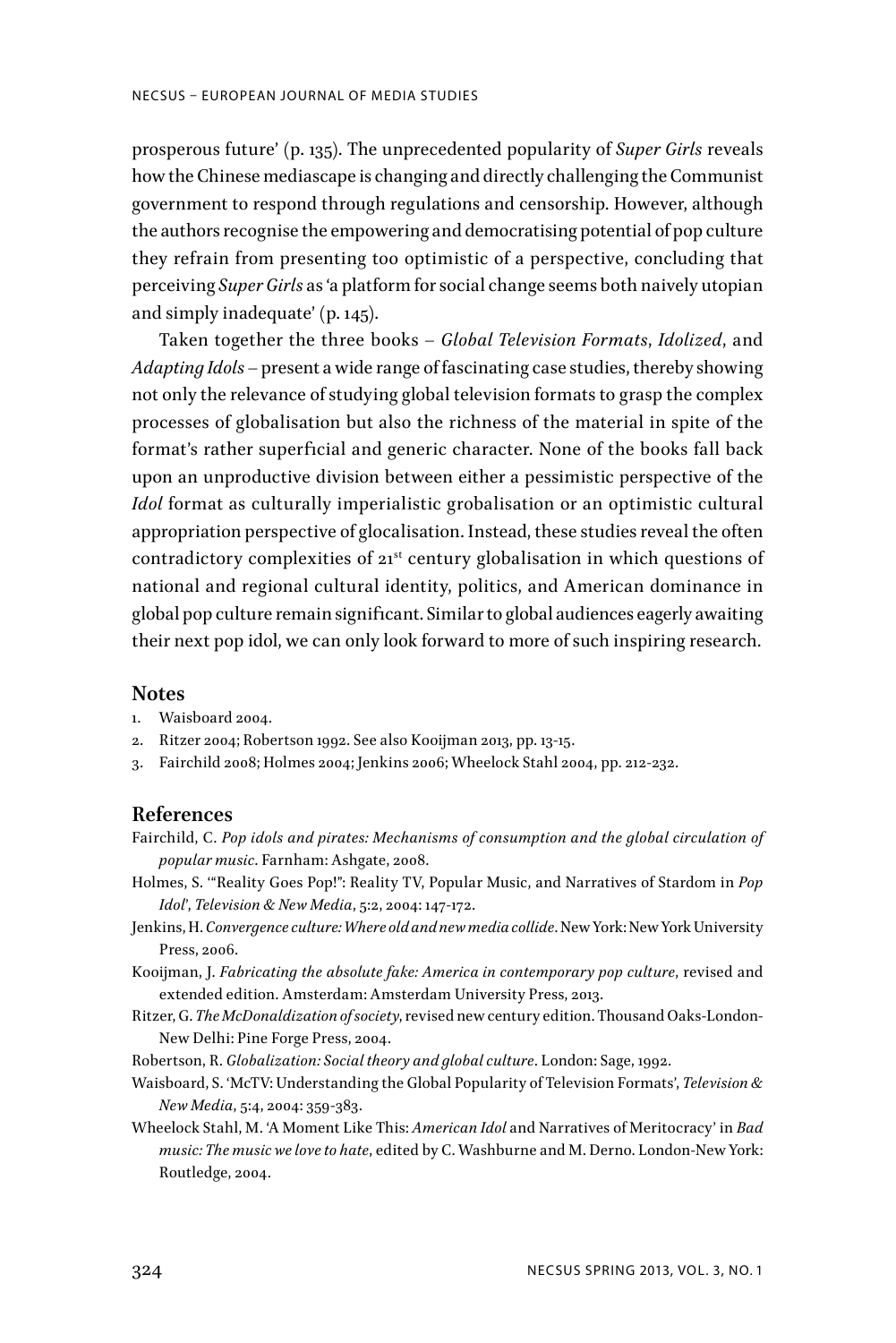prosperous future' (p. 135). The unprecedented popularity of *Super Girls* reveals how the Chinese mediascape is changing and directly challenging the Communist government to respond through regulations and censorship. However, although the authors recognise the empowering and democratising potential of pop culture they refrain from presenting too optimistic of a perspective, concluding that perceiving *Super Girls* as 'a platform for social change seems both naively utopian and simply inadequate' (p. 145).

Taken together the three books – *Global Television Formats*, *Idolized*, and *Adapting Idols* – present a wide range of fascinating case studies, thereby showing not only the relevance of studying global television formats to grasp the complex processes of globalisation but also the richness of the material in spite of the format's rather superficial and generic character. None of the books fall back upon an unproductive division between either a pessimistic perspective of the *Idol* format as culturally imperialistic grobalisation or an optimistic cultural appropriation perspective of glocalisation. Instead, these studies reveal the often contradictory complexities of  $21^{st}$  century globalisation in which questions of national and regional cultural identity, politics, and American dominance in global pop culture remain significant. Similar to global audiences eagerly awaiting their next pop idol, we can only look forward to more of such inspiring research.

#### **Notes**

- 1. Waisboard 2004.
- 2. Ritzer 2004; Robertson 1992. See also Kooijman 2013, pp. 13-15.
- 3. Fairchild 2008; Holmes 2004; Jenkins 2006; Wheelock Stahl 2004, pp. 212-232.

#### **References**

- Fairchild, C. *Pop idols and pirates: Mechanisms of consumption and the global circulation of popular music*. Farnham: Ashgate, 2008.
- Holmes, S. '"Reality Goes Pop!": Reality TV, Popular Music, and Narratives of Stardom in *Pop Idol*', *Television & New Media*, 5:2, 2004: 147-172.
- Jenkins, H. *Convergence culture: Where old and new media collide*. New York: New York University Press, 2006.
- Kooijman, J. *Fabricating the absolute fake: America in contemporary pop culture*, revised and extended edition. Amsterdam: Amsterdam University Press, 2013.
- Ritzer, G. *The McDonaldization of society*, revised new century edition. Thousand Oaks-London-New Delhi: Pine Forge Press, 2004.

Robertson, R. *Globalization: Social theory and global culture*. London: Sage, 1992.

- Waisboard, S. 'McTV: Understanding the Global Popularity of Television Formats', *Television & New Media*, 5:4, 2004: 359-383.
- Wheelock Stahl, M. 'A Moment Like This: *American Idol* and Narratives of Meritocracy' in *Bad music: The music we love to hate*, edited by C. Washburne and M. Derno. London-New York: Routledge, 2004.